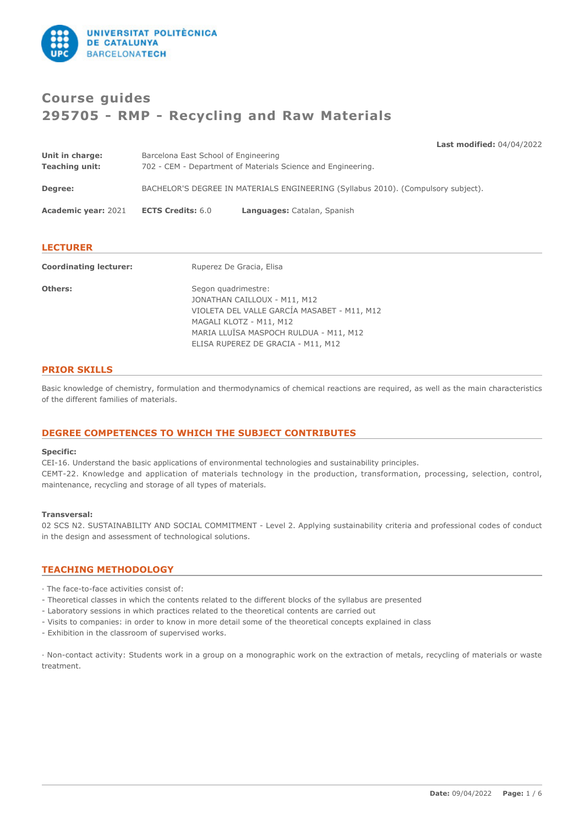

# **Course guides 295705 - RMP - Recycling and Raw Materials**

**Last modified:** 04/04/2022

| Degree:<br><b>Academic year: 2021</b> | <b>ECTS Credits: 6.0</b>                                     | BACHELOR'S DEGREE IN MATERIALS ENGINEERING (Syllabus 2010). (Compulsory subject).<br>Languages: Catalan, Spanish |  |
|---------------------------------------|--------------------------------------------------------------|------------------------------------------------------------------------------------------------------------------|--|
| Unit in charge:                       | Barcelona East School of Engineering                         |                                                                                                                  |  |
| <b>Teaching unit:</b>                 | 702 - CEM - Department of Materials Science and Engineering. |                                                                                                                  |  |

| ______<br>__ |
|--------------|
|--------------|

| <b>Coordinating lecturer:</b> | Ruperez De Gracia, Elisa                                                                                                                                                                                      |  |
|-------------------------------|---------------------------------------------------------------------------------------------------------------------------------------------------------------------------------------------------------------|--|
| Others:                       | Segon quadrimestre:<br>JONATHAN CAILLOUX - M11, M12<br>VIOLETA DEL VALLE GARCÍA MASABET - M11, M12<br>MAGALI KLOTZ - M11, M12<br>MARIA LLUÏSA MASPOCH RULDUA - M11, M12<br>ELISA RUPEREZ DE GRACIA - M11, M12 |  |

# **PRIOR SKILLS**

Basic knowledge of chemistry, formulation and thermodynamics of chemical reactions are required, as well as the main characteristics of the different families of materials.

# **DEGREE COMPETENCES TO WHICH THE SUBJECT CONTRIBUTES**

#### **Specific:**

CEI-16. Understand the basic applications of environmental technologies and sustainability principles. CEMT-22. Knowledge and application of materials technology in the production, transformation, processing, selection, control, maintenance, recycling and storage of all types of materials.

#### **Transversal:**

02 SCS N2. SUSTAINABILITY AND SOCIAL COMMITMENT - Level 2. Applying sustainability criteria and professional codes of conduct in the design and assessment of technological solutions.

# **TEACHING METHODOLOGY**

- · The face-to-face activities consist of:
- Theoretical classes in which the contents related to the different blocks of the syllabus are presented
- Laboratory sessions in which practices related to the theoretical contents are carried out
- Visits to companies: in order to know in more detail some of the theoretical concepts explained in class
- Exhibition in the classroom of supervised works.

· Non-contact activity: Students work in a group on a monographic work on the extraction of metals, recycling of materials or waste treatment.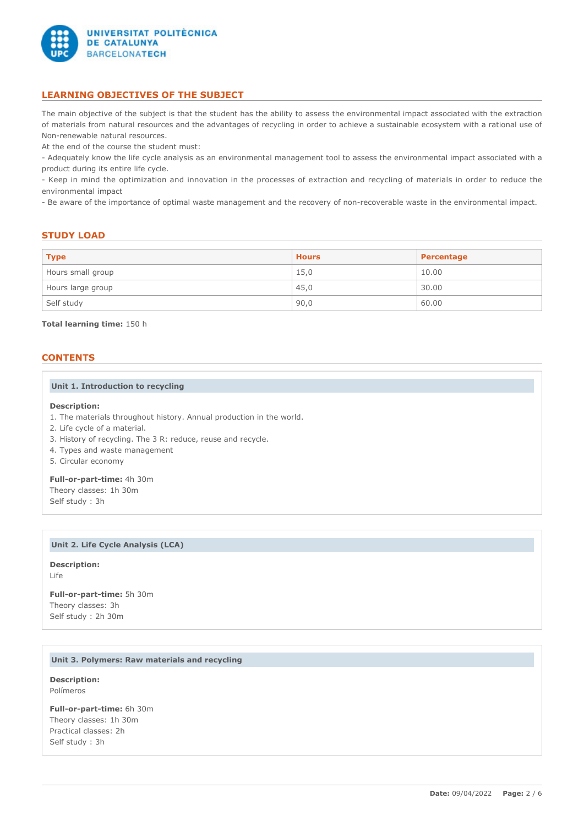

# **LEARNING OBJECTIVES OF THE SUBJECT**

The main objective of the subject is that the student has the ability to assess the environmental impact associated with the extraction of materials from natural resources and the advantages of recycling in order to achieve a sustainable ecosystem with a rational use of Non-renewable natural resources.

At the end of the course the student must:

- Adequately know the life cycle analysis as an environmental management tool to assess the environmental impact associated with a product during its entire life cycle.

- Keep in mind the optimization and innovation in the processes of extraction and recycling of materials in order to reduce the environmental impact

- Be aware of the importance of optimal waste management and the recovery of non-recoverable waste in the environmental impact.

# **STUDY LOAD**

| <b>Type</b>       | <b>Hours</b> | Percentage |
|-------------------|--------------|------------|
| Hours small group | 15,0         | 10.00      |
| Hours large group | 45,0         | 30.00      |
| Self study        | 90,0         | 60.00      |

## **Total learning time:** 150 h

## **CONTENTS**

#### **Unit 1. Introduction to recycling**

#### **Description:**

- 1. The materials throughout history. Annual production in the world.
- 2. Life cycle of a material.
- 3. History of recycling. The 3 R: reduce, reuse and recycle.
- 4. Types and waste management
- 5. Circular economy

**Full-or-part-time:** 4h 30m Theory classes: 1h 30m Self study : 3h

## **Unit 2. Life Cycle Analysis (LCA)**

**Description:** Life

**Full-or-part-time:** 5h 30m Theory classes: 3h Self study : 2h 30m

## **Unit 3. Polymers: Raw materials and recycling**

**Description:** Polímeros

**Full-or-part-time:** 6h 30m Theory classes: 1h 30m Practical classes: 2h Self study : 3h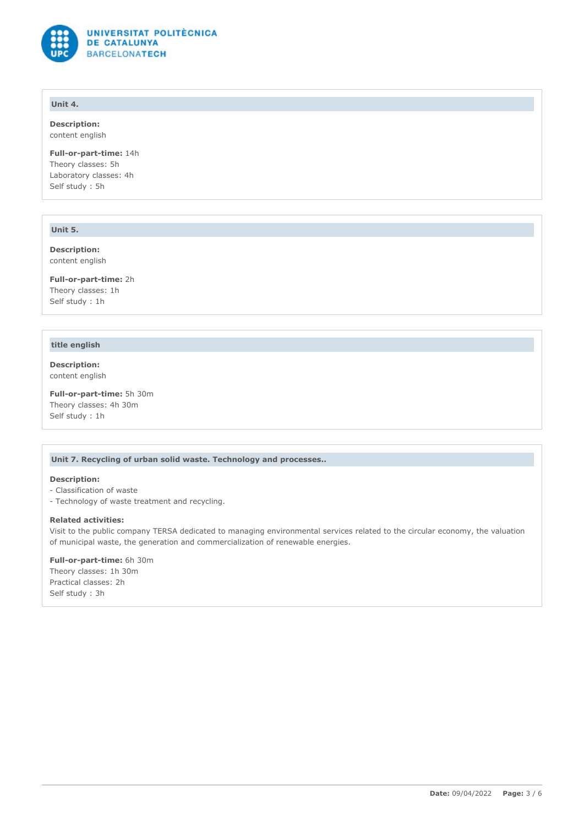

# **Unit 4.**

**Description:** content english

**Full-or-part-time:** 14h Theory classes: 5h Laboratory classes: 4h Self study : 5h

# **Unit 5.**

**Description:** content english

**Full-or-part-time:** 2h Theory classes: 1h Self study : 1h

# **title english**

**Description:** content english

**Full-or-part-time:** 5h 30m Theory classes: 4h 30m Self study : 1h

# **Unit 7. Recycling of urban solid waste. Technology and processes..**

# **Description:**

- Classification of waste
- Technology of waste treatment and recycling.

#### **Related activities:**

Visit to the public company TERSA dedicated to managing environmental services related to the circular economy, the valuation of municipal waste, the generation and commercialization of renewable energies.

## **Full-or-part-time:** 6h 30m

Theory classes: 1h 30m Practical classes: 2h Self study : 3h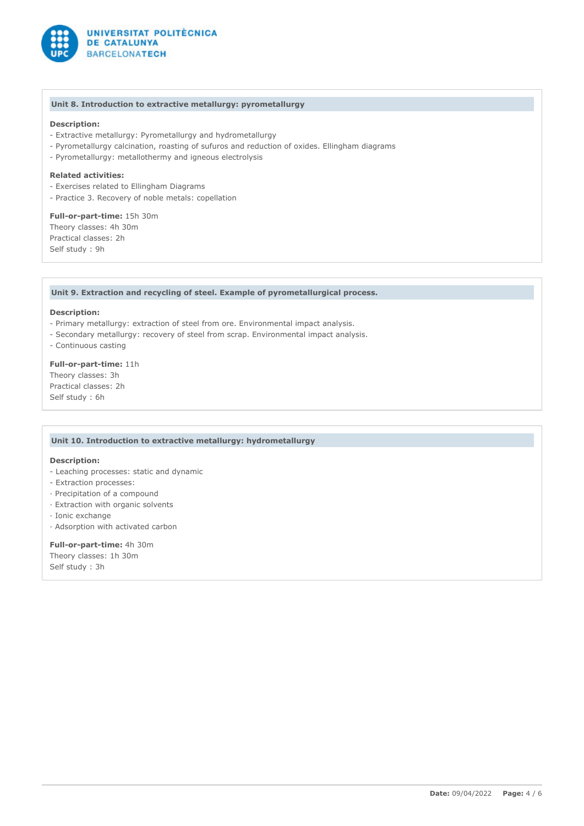

#### **Unit 8. Introduction to extractive metallurgy: pyrometallurgy**

## **Description:**

- Extractive metallurgy: Pyrometallurgy and hydrometallurgy
- Pyrometallurgy calcination, roasting of sufuros and reduction of oxides. Ellingham diagrams
- Pyrometallurgy: metallothermy and igneous electrolysis

## **Related activities:**

- Exercises related to Ellingham Diagrams
- Practice 3. Recovery of noble metals: copellation

**Full-or-part-time:** 15h 30m Theory classes: 4h 30m Practical classes: 2h Self study : 9h

## **Unit 9. Extraction and recycling of steel. Example of pyrometallurgical process.**

#### **Description:**

- Primary metallurgy: extraction of steel from ore. Environmental impact analysis.
- Secondary metallurgy: recovery of steel from scrap. Environmental impact analysis.
- Continuous casting

# **Full-or-part-time:** 11h

Theory classes: 3h Practical classes: 2h Self study : 6h

#### **Unit 10. Introduction to extractive metallurgy: hydrometallurgy**

#### **Description:**

- Leaching processes: static and dynamic
- Extraction processes:
- · Precipitation of a compound
- · Extraction with organic solvents
- · Ionic exchange
- · Adsorption with activated carbon

#### **Full-or-part-time:** 4h 30m

Theory classes: 1h 30m Self study : 3h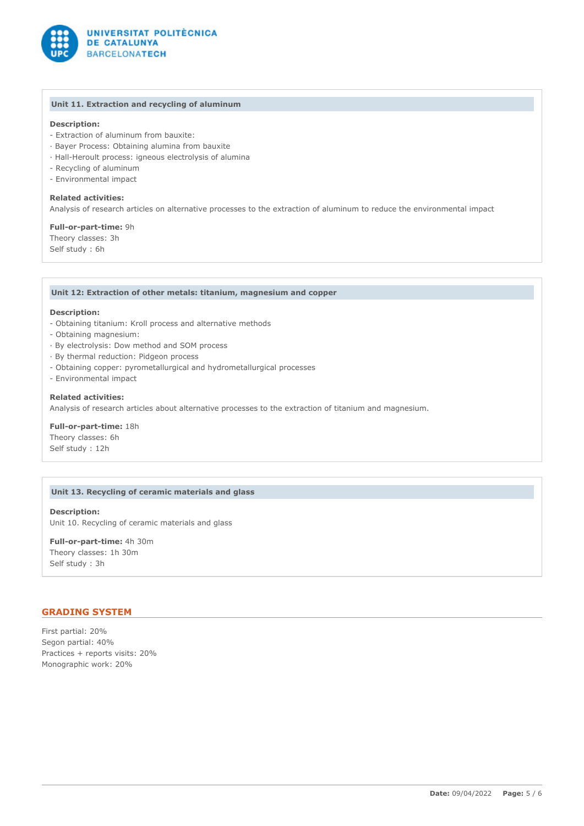

# **Unit 11. Extraction and recycling of aluminum**

# **Description:**

- Extraction of aluminum from bauxite:
- · Bayer Process: Obtaining alumina from bauxite
- · Hall-Heroult process: igneous electrolysis of alumina
- Recycling of aluminum
- Environmental impact

## **Related activities:**

Analysis of research articles on alternative processes to the extraction of aluminum to reduce the environmental impact

**Full-or-part-time:** 9h

Theory classes: 3h Self study : 6h

## **Unit 12: Extraction of other metals: titanium, magnesium and copper**

#### **Description:**

- Obtaining titanium: Kroll process and alternative methods
- Obtaining magnesium:
- · By electrolysis: Dow method and SOM process
- · By thermal reduction: Pidgeon process
- Obtaining copper: pyrometallurgical and hydrometallurgical processes
- Environmental impact

## **Related activities:**

Analysis of research articles about alternative processes to the extraction of titanium and magnesium.

**Full-or-part-time:** 18h Theory classes: 6h Self study : 12h

## **Unit 13. Recycling of ceramic materials and glass**

**Description:** Unit 10. Recycling of ceramic materials and glass

**Full-or-part-time:** 4h 30m Theory classes: 1h 30m Self study : 3h

# **GRADING SYSTEM**

First partial: 20% Segon partial: 40% Practices + reports visits: 20% Monographic work: 20%